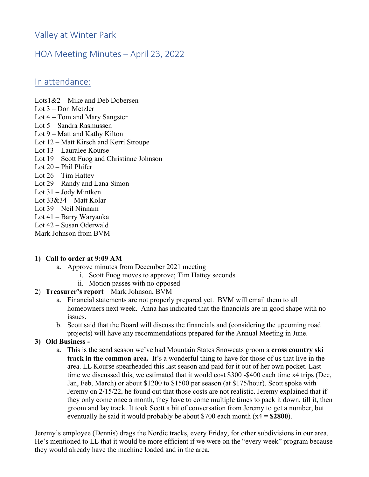# Valley at Winter Park

# HOA Meeting Minutes – April 23, 2022

## In attendance:

Lots1&2 – Mike and Deb Dobersen Lot 3 – Don Metzler Lot 4 – Tom and Mary Sangster Lot 5 – Sandra Rasmussen Lot 9 – Matt and Kathy Kilton Lot 12 – Matt Kirsch and Kerri Stroupe Lot 13 – Lauralee Kourse Lot 19 – Scott Fuog and Christinne Johnson Lot 20 – Phil Phifer Lot 26 – Tim Hattey Lot 29 – Randy and Lana Simon Lot 31 – Jody Mintken Lot  $33&34$  – Matt Kolar Lot 39 – Neil Ninnam Lot 41 – Barry Waryanka Lot 42 – Susan Oderwald Mark Johnson from BVM

#### **1) Call to order at 9:09 AM**

- a. Approve minutes from December 2021 meeting
	- i. Scott Fuog moves to approve; Tim Hattey seconds
	- ii. Motion passes with no opposed

#### 2) **Treasurer's report** – Mark Johnson, BVM

- a. Financial statements are not properly prepared yet. BVM will email them to all homeowners next week. Anna has indicated that the financials are in good shape with no issues.
- b. Scott said that the Board will discuss the financials and (considering the upcoming road projects) will have any recommendations prepared for the Annual Meeting in June.

#### **3) Old Business -**

a. This is the send season we've had Mountain States Snowcats groom a **cross country ski track in the common area.** It's a wonderful thing to have for those of us that live in the area. LL Kourse spearheaded this last season and paid for it out of her own pocket. Last time we discussed this, we estimated that it would cost \$300 -\$400 each time x4 trips (Dec, Jan, Feb, March) or about \$1200 to \$1500 per season (at \$175/hour). Scott spoke with Jeremy on 2/15/22, he found out that those costs are not realistic. Jeremy explained that if they only come once a month, they have to come multiple times to pack it down, till it, then groom and lay track. It took Scott a bit of conversation from Jeremy to get a number, but eventually he said it would probably be about \$700 each month (x4 = **\$2800**).

Jeremy's employee (Dennis) drags the Nordic tracks, every Friday, for other subdivisions in our area. He's mentioned to LL that it would be more efficient if we were on the "every week" program because they would already have the machine loaded and in the area.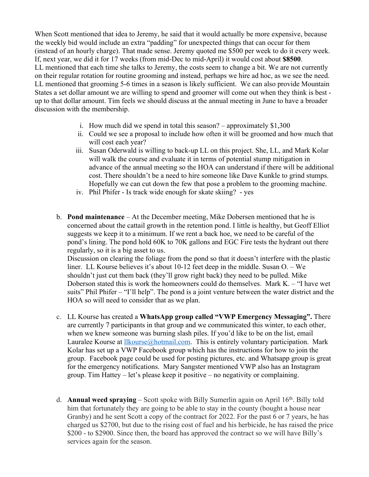When Scott mentioned that idea to Jeremy, he said that it would actually be more expensive, because the weekly bid would include an extra "padding" for unexpected things that can occur for them (instead of an hourly charge). That made sense. Jeremy quoted me \$500 per week to do it every week. If, next year, we did it for 17 weeks (from mid-Dec to mid-April) it would cost about **\$8500**. LL mentioned that each time she talks to Jeremy, the costs seem to change a bit. We are not currently on their regular rotation for routine grooming and instead, perhaps we hire ad hoc, as we see the need. LL mentioned that grooming 5-6 times in a season is likely sufficient. We can also provide Mountain States a set dollar amount we are willing to spend and groomer will come out when they think is best up to that dollar amount. Tim feels we should discuss at the annual meeting in June to have a broader discussion with the membership.

- i. How much did we spend in total this season? approximately \$1,300
- ii. Could we see a proposal to include how often it will be groomed and how much that will cost each year?
- iii. Susan Oderwald is willing to back-up LL on this project. She, LL, and Mark Kolar will walk the course and evaluate it in terms of potential stump mitigation in advance of the annual meeting so the HOA can understand if there will be additional cost. There shouldn't be a need to hire someone like Dave Kunkle to grind stumps. Hopefully we can cut down the few that pose a problem to the grooming machine.
- iv. Phil Phifer Is track wide enough for skate skiing? yes
- b. **Pond maintenance** At the December meeting, Mike Dobersen mentioned that he is concerned about the cattail growth in the retention pond. I little is healthy, but Geoff Elliot suggests we keep it to a minimum. If we rent a back hoe, we need to be careful of the pond's lining. The pond hold 60K to 70K gallons and EGC Fire tests the hydrant out there regularly, so it is a big asset to us.

Discussion on clearing the foliage from the pond so that it doesn't interfere with the plastic liner. LL Kourse believes it's about 10-12 feet deep in the middle. Susan O. – We shouldn't just cut them back (they'll grow right back) they need to be pulled. Mike Doberson stated this is work the homeowners could do themselves. Mark K. – "I have wet suits" Phil Phifer – "I'll help". The pond is a joint venture between the water district and the HOA so will need to consider that as we plan.

- c. LL Kourse has created a **WhatsApp group called "VWP Emergency Messaging".** There are currently 7 participants in that group and we communicated this winter, to each other, when we knew someone was burning slash piles. If you'd like to be on the list, email Lauralee Kourse at *Ilkourse*@hotmail.com. This is entirely voluntary participation. Mark Kolar has set up a VWP Facebook group which has the instructions for how to join the group. Facebook page could be used for posting pictures, etc. and Whatsapp group is great for the emergency notifications. Mary Sangster mentioned VWP also has an Instagram group. Tim Hattey – let's please keep it positive – no negativity or complaining.
- d. **Annual weed spraying** Scott spoke with Billy Sumerlin again on April 16<sup>th</sup>. Billy told him that fortunately they are going to be able to stay in the county (bought a house near Granby) and he sent Scott a copy of the contract for 2022. For the past 6 or 7 years, he has charged us \$2700, but due to the rising cost of fuel and his herbicide, he has raised the price \$200 - to \$2900. Since then, the board has approved the contract so we will have Billy's services again for the season.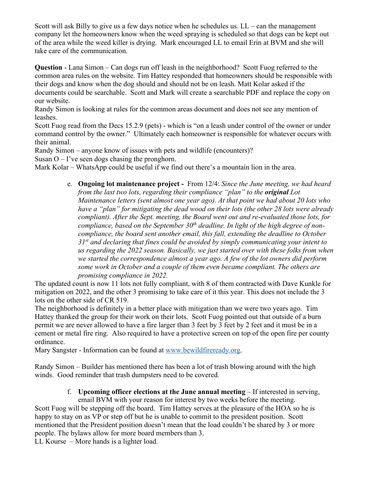Scott will ask Billy to give us a few days notice when he schedules us.  $LL - can$  the management company let the homeowners know when the weed spraying is scheduled so that dogs can be kept out of the area while the weed killer is drying. Mark encouraged LL to email Erin at BVM and she will take care of the communication.

**Question** - Lana Simon – Can dogs run off leash in the neighborhood? Scott Fuog referred to the common area rules on the website. Tim Hattey responded that homeowners should be responsible with their dogs and know when the dog should and should not be on leash. Matt Kolar asked if the documents could be searchable. Scott and Mark will create a searchable PDF and replace the copy on our website.

Randy Simon is looking at rules for the common areas document and does not see any mention of leashes.

Scott Fuog read from the Decs 15.2.9 (pets) - which is "on a leash under control of the owner or under command control by the owner." Ultimately each homeowner is responsible for whatever occurs with their animal.

Randy Simon – anyone know of issues with pets and wildlife (encounters)?

Susan  $O - I'$ ve seen dogs chasing the pronghorn.

Mark Kolar – WhatsApp could be useful if we find out there's a mountain lion in the area.

e. **Ongoing lot maintenance project -** From 12/4: *Since the June meeting, we had heard from the last two lots, regarding their compliance "plan" to the original Lot Maintenance letters (sent almost one year ago). At that point we had about 20 lots who have a "plan" for mitigating the dead wood on their lots (the other 28 lots were already compliant). After the Sept. meeting, the Board went out and re-evaluated those lots, for compliance, based on the September 30th deadline. In light of the high degree of noncompliance, the board sent another email, this fall, extending the deadline to October 31st and declaring that fines could be avoided by simply communicating your intent to us regarding the 2022 season. Basically, we just started over with these folks from when we started the correspondence almost a year ago. A few of the lot owners did perform some work in October and a couple of them even became compliant. The others are promising compliance in 2022.*

The updated count is now 11 lots not fully compliant, with 8 of them contracted with Dave Kunkle for mitigation on 2022, and the other 3 promising to take care of it this year. This does not include the 3 lots on the other side of CR 519.

The neighborhood is definitely in a better place with mitigation than we were two years ago. Tim Hattey thanked the group for their work on their lots. Scott Fuog pointed out that outside of a burn permit we are never allowed to have a fire larger than 3 feet by 3 feet by 2 feet and it must be in a cement or metal fire ring. Also required to have a protective screen on top of the open fire per county ordinance.

Mary Sangster - Information can be found at www.bewildfireready.org.

Randy Simon – Builder has mentioned there has been a lot of trash blowing around with the high winds. Good reminder that trash dumpsters need to be covered.

#### f. **Upcoming officer elections at the June annual meeting** – If interested in serving, email BVM with your reason for interest by two weeks before the meeting.

Scott Fuog will be stepping off the board. Tim Hattey serves at the pleasure of the HOA so he is happy to stay on as VP or step off but he is unable to commit to the president position. Scott mentioned that the President position doesn't mean that the load couldn't be shared by 3 or more people. The bylaws allow for more board members than 3.

LL Kourse – More hands is a lighter load.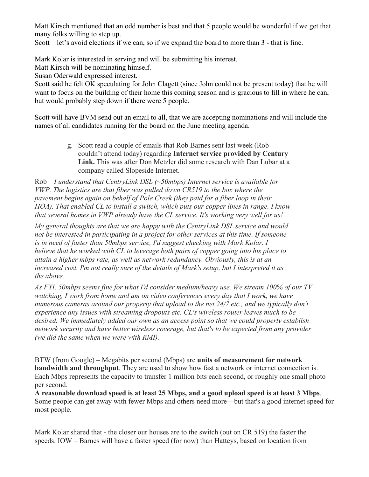Matt Kirsch mentioned that an odd number is best and that 5 people would be wonderful if we get that many folks willing to step up.

Scott – let's avoid elections if we can, so if we expand the board to more than 3 - that is fine.

Mark Kolar is interested in serving and will be submitting his interest.

Matt Kirsch will be nominating himself.

Susan Oderwald expressed interest.

Scott said he felt OK speculating for John Clagett (since John could not be present today) that he will want to focus on the building of their home this coming season and is gracious to fill in where he can, but would probably step down if there were 5 people.

Scott will have BVM send out an email to all, that we are accepting nominations and will include the names of all candidates running for the board on the June meeting agenda.

> g. Scott read a couple of emails that Rob Barnes sent last week (Rob couldn't attend today) regarding **Internet service provided by Century Link.** This was after Don Metzler did some research with Dan Lubar at a company called Slopeside Internet.

Rob – *I understand that CentryLink DSL (~50mbps) Internet service is available for VWP. The logistics are that fiber was pulled down CR519 to the box where the pavement begins again on behalf of Pole Creek (they paid for a fiber loop in their HOA). That enabled CL to install a switch, which puts our copper lines in range. I know that several homes in VWP already have the CL service. It's working very well for us!*

*My general thoughts are that we are happy with the CentryLink DSL service and would not be interested in participating in a project for other services at this time. If someone is in need of faster than 50mbps service, I'd suggest checking with Mark Kolar. I believe that he worked with CL to leverage both pairs of copper going into his place to attain a higher mbps rate, as well as network redundancy. Obviously, this is at an increased cost. I'm not really sure of the details of Mark's setup, but I interpreted it as the above.* 

*As FYI, 50mbps seems fine for what I'd consider medium/heavy use. We stream 100% of our TV watching, I work from home and am on video conferences every day that I work, we have numerous cameras around our property that upload to the net 24/7 etc., and we typically don't experience any issues with streaming dropouts etc. CL's wireless router leaves much to be desired. We immediately added our own as an access point so that we could properly establish network security and have better wireless coverage, but that's to be expected from any provider (we did the same when we were with RMI).*

BTW (from Google) – Megabits per second (Mbps) are **units of measurement for network bandwidth and throughput**. They are used to show how fast a network or internet connection is. Each Mbps represents the capacity to transfer 1 million bits each second, or roughly one small photo per second.

**A reasonable download speed is at least 25 Mbps, and a good upload speed is at least 3 Mbps**. Some people can get away with fewer Mbps and others need more—but that's a good internet speed for most people.

Mark Kolar shared that - the closer our houses are to the switch (out on CR 519) the faster the speeds. IOW – Barnes will have a faster speed (for now) than Hatteys, based on location from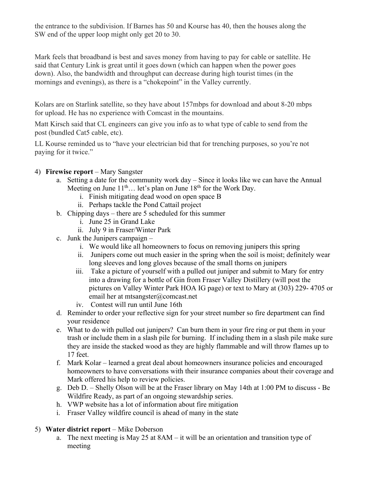the entrance to the subdivision. If Barnes has 50 and Kourse has 40, then the houses along the SW end of the upper loop might only get 20 to 30.

Mark feels that broadband is best and saves money from having to pay for cable or satellite. He said that Century Link is great until it goes down (which can happen when the power goes down). Also, the bandwidth and throughput can decrease during high tourist times (in the mornings and evenings), as there is a "chokepoint" in the Valley currently.

Kolars are on Starlink satellite, so they have about 157mbps for download and about 8-20 mbps for upload. He has no experience with Comcast in the mountains.

Matt Kirsch said that CL engineers can give you info as to what type of cable to send from the post (bundled Cat5 cable, etc).

LL Kourse reminded us to "have your electrician bid that for trenching purposes, so you're not paying for it twice."

## 4) **Firewise report** – Mary Sangster

- a. Setting a date for the community work day Since it looks like we can have the Annual Meeting on June  $11<sup>th</sup>$ ... let's plan on June  $18<sup>th</sup>$  for the Work Day.
	- i. Finish mitigating dead wood on open space B
	- ii. Perhaps tackle the Pond Cattail project
- b. Chipping days there are 5 scheduled for this summer
	- i. June 25 in Grand Lake
	- ii. July 9 in Fraser/Winter Park
- c. Junk the Junipers campaign
	- i. We would like all homeowners to focus on removing junipers this spring
	- ii. Junipers come out much easier in the spring when the soil is moist; definitely wear long sleeves and long gloves because of the small thorns on junipers
	- iii. Take a picture of yourself with a pulled out juniper and submit to Mary for entry into a drawing for a bottle of Gin from Fraser Valley Distillery (will post the pictures on Valley Winter Park HOA IG page) or text to Mary at (303) 229- 4705 or email her at mtsangster@comcast.net
	- iv. Contest will run until June 16th
- d. Reminder to order your reflective sign for your street number so fire department can find your residence
- e. What to do with pulled out junipers? Can burn them in your fire ring or put them in your trash or include them in a slash pile for burning. If including them in a slash pile make sure they are inside the stacked wood as they are highly flammable and will throw flames up to 17 feet.
- f. Mark Kolar learned a great deal about homeowners insurance policies and encouraged homeowners to have conversations with their insurance companies about their coverage and Mark offered his help to review policies.
- g. Deb D. Shelly Olson will be at the Fraser library on May 14th at 1:00 PM to discuss Be Wildfire Ready, as part of an ongoing stewardship series.
- h. VWP website has a lot of information about fire mitigation
- i. Fraser Valley wildfire council is ahead of many in the state

## 5) **Water district report** – Mike Doberson

a. The next meeting is May 25 at 8AM – it will be an orientation and transition type of meeting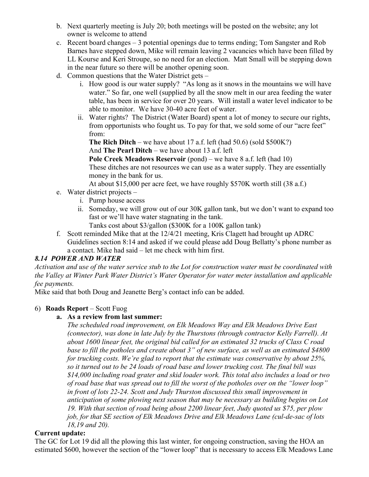- b. Next quarterly meeting is July 20; both meetings will be posted on the website; any lot owner is welcome to attend
- c. Recent board changes 3 potential openings due to terms ending; Tom Sangster and Rob Barnes have stepped down, Mike will remain leaving 2 vacancies which have been filled by LL Kourse and Keri Stroupe, so no need for an election. Matt Small will be stepping down in the near future so there will be another opening soon.
- d. Common questions that the Water District gets
	- i. How good is our water supply? "As long as it snows in the mountains we will have water." So far, one well (supplied by all the snow melt in our area feeding the water table, has been in service for over 20 years. Will install a water level indicator to be able to monitor. We have 30-40 acre feet of water.
	- ii. Water rights? The District (Water Board) spent a lot of money to secure our rights, from opportunists who fought us. To pay for that, we sold some of our "acre feet" from:

**The Rich Ditch** – we have about 17 a.f. left (had 50.6) (sold \$500K?) And **The Pearl Ditch** – we have about 13 a.f. left

**Pole Creek Meadows Reservoir** (pond) – we have 8 a.f. left (had 10)

These ditches are not resources we can use as a water supply. They are essentially money in the bank for us.

At about \$15,000 per acre feet, we have roughly \$570K worth still (38 a.f.)

- e. Water district projects
	- i. Pump house access
	- ii. Someday, we will grow out of our 30K gallon tank, but we don't want to expand too fast or we'll have water stagnating in the tank.

Tanks cost about \$3/gallon (\$300K for a 100K gallon tank)

f. Scott reminded Mike that at the 12/4/21 meeting, Kris Clagett had brought up ADRC Guidelines section 8:14 and asked if we could please add Doug Bellatty's phone number as a contact. Mike had said – let me check with him first.

## *8.14 POWER AND WATER*

*Activation and use of the water service stub to the Lot for construction water must be coordinated with the Valley at Winter Park Water District's Water Operator for water meter installation and applicable fee payments.* 

Mike said that both Doug and Jeanette Berg's contact info can be added.

## 6) **Roads Report** – Scott Fuog

#### **a. As a review from last summer:**

*The scheduled road improvement, on Elk Meadows Way and Elk Meadows Drive East (connector), was done in late July by the Thurstons (through contractor Kelly Farrell). At about 1600 linear feet, the original bid called for an estimated 32 trucks of Class C road base to fill the potholes and create about 3" of new surface, as well as an estimated \$4800 for trucking costs. We're glad to report that the estimate was conservative by about 25%, so it turned out to be 24 loads of road base and lower trucking cost. The final bill was \$14,000 including road grater and skid loader work. This total also includes a load or two of road base that was spread out to fill the worst of the potholes over on the "lower loop" in front of lots 22-24. Scott and Judy Thurston discussed this small improvement in anticipation of some plowing next season that may be necessary as building begins on Lot 19. With that section of road being about 2200 linear feet, Judy quoted us \$75, per plow job, for that SE section of Elk Meadows Drive and Elk Meadows Lane (cul-de-sac of lots 18,19 and 20).*

#### **Current update:**

The GC for Lot 19 did all the plowing this last winter, for ongoing construction, saving the HOA an estimated \$600, however the section of the "lower loop" that is necessary to access Elk Meadows Lane